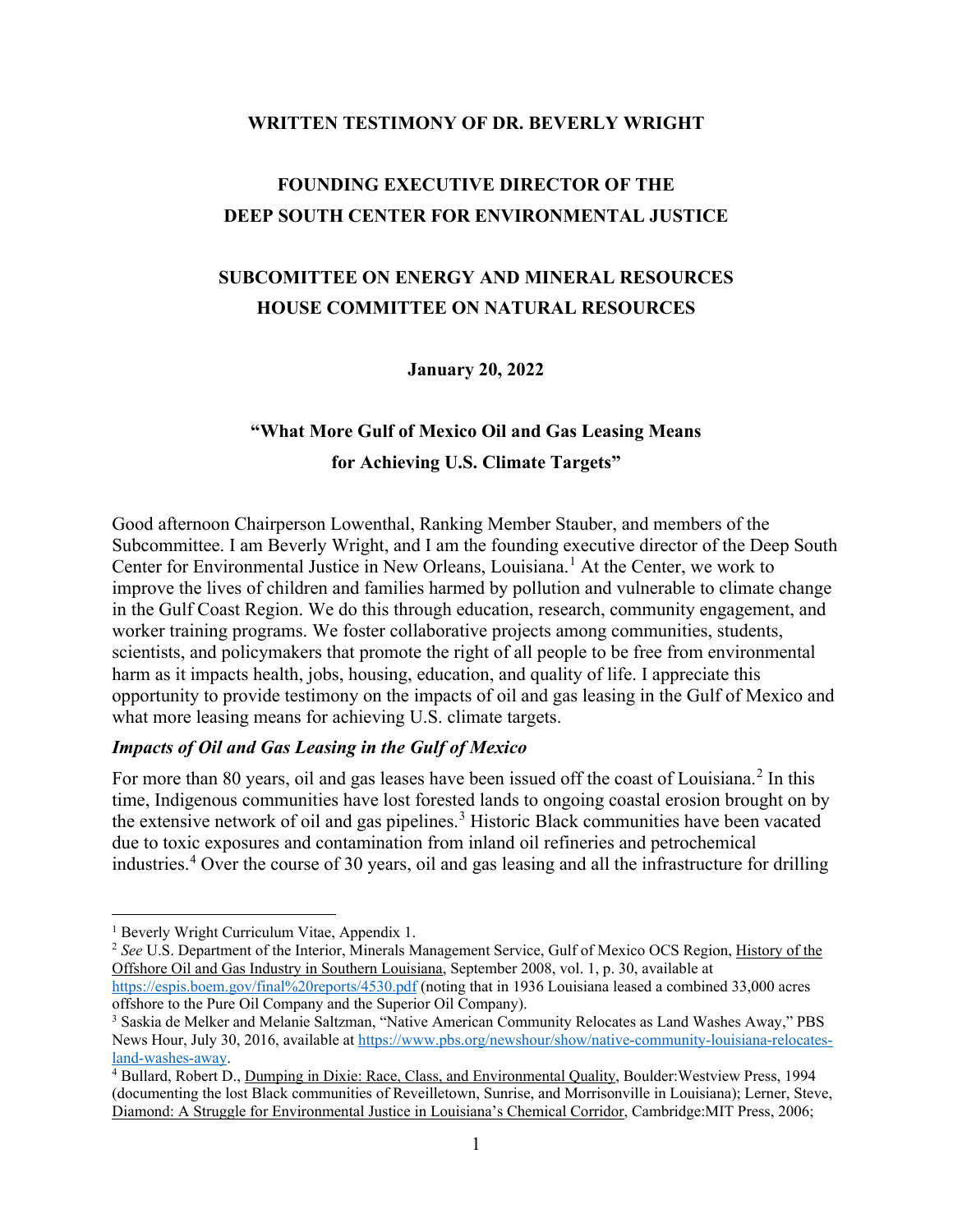#### **WRITTEN TESTIMONY OF DR. BEVERLY WRIGHT**

## **FOUNDING EXECUTIVE DIRECTOR OF THE DEEP SOUTH CENTER FOR ENVIRONMENTAL JUSTICE**

# **SUBCOMITTEE ON ENERGY AND MINERAL RESOURCES HOUSE COMMITTEE ON NATURAL RESOURCES**

**January 20, 2022**

## **"What More Gulf of Mexico Oil and Gas Leasing Means for Achieving U.S. Climate Targets"**

Good afternoon Chairperson Lowenthal, Ranking Member Stauber, and members of the Subcommittee. I am Beverly Wright, and I am the founding executive director of the Deep South Center for Environmental Justice in New Orleans, Louisiana.<sup>[1](#page-0-0)</sup> At the Center, we work to improve the lives of children and families harmed by pollution and vulnerable to climate change in the Gulf Coast Region. We do this through education, research, community engagement, and worker training programs. We foster collaborative projects among communities, students, scientists, and policymakers that promote the right of all people to be free from environmental harm as it impacts health, jobs, housing, education, and quality of life. I appreciate this opportunity to provide testimony on the impacts of oil and gas leasing in the Gulf of Mexico and what more leasing means for achieving U.S. climate targets.

#### *Impacts of Oil and Gas Leasing in the Gulf of Mexico*

For more than 80 years, oil and gas leases have been issued off the coast of Louisiana.<sup>[2](#page-0-1)</sup> In this time, Indigenous communities have lost forested lands to ongoing coastal erosion brought on by the extensive network of oil and gas pipelines.<sup>[3](#page-0-2)</sup> Historic Black communities have been vacated due to toxic exposures and contamination from inland oil refineries and petrochemical industries.[4](#page-0-3) Over the course of 30 years, oil and gas leasing and all the infrastructure for drilling

<span id="page-0-1"></span><sup>2</sup> See U.S. Department of the Interior, Minerals Management Service, Gulf of Mexico OCS Region, History of the Offshore Oil and Gas Industry in Southern Louisiana, September 2008, vol. 1, p. 30, available at <https://espis.boem.gov/final%20reports/4530.pdf> (noting that in 1936 Louisiana leased a combined 33,000 acres

offshore to the Pure Oil Company and the Superior Oil Company). <sup>3</sup> Saskia de Melker and Melanie Saltzman, "Native American Community Relocates as Land Washes Away," PBS

<span id="page-0-0"></span><sup>&</sup>lt;sup>1</sup> Beverly Wright Curriculum Vitae, Appendix 1.

<span id="page-0-2"></span>News Hour, July 30, 2016, available at [https://www.pbs.org/newshour/show/native-community-louisiana-relocates](https://www.pbs.org/newshour/show/native-community-louisiana-relocates-land-washes-away)[land-washes-away.](https://www.pbs.org/newshour/show/native-community-louisiana-relocates-land-washes-away)

<span id="page-0-3"></span><sup>4</sup> Bullard, Robert D., Dumping in Dixie: Race, Class, and Environmental Quality, Boulder:Westview Press, 1994 (documenting the lost Black communities of Reveilletown, Sunrise, and Morrisonville in Louisiana); Lerner, Steve, Diamond: A Struggle for Environmental Justice in Louisiana's Chemical Corridor, Cambridge:MIT Press, 2006;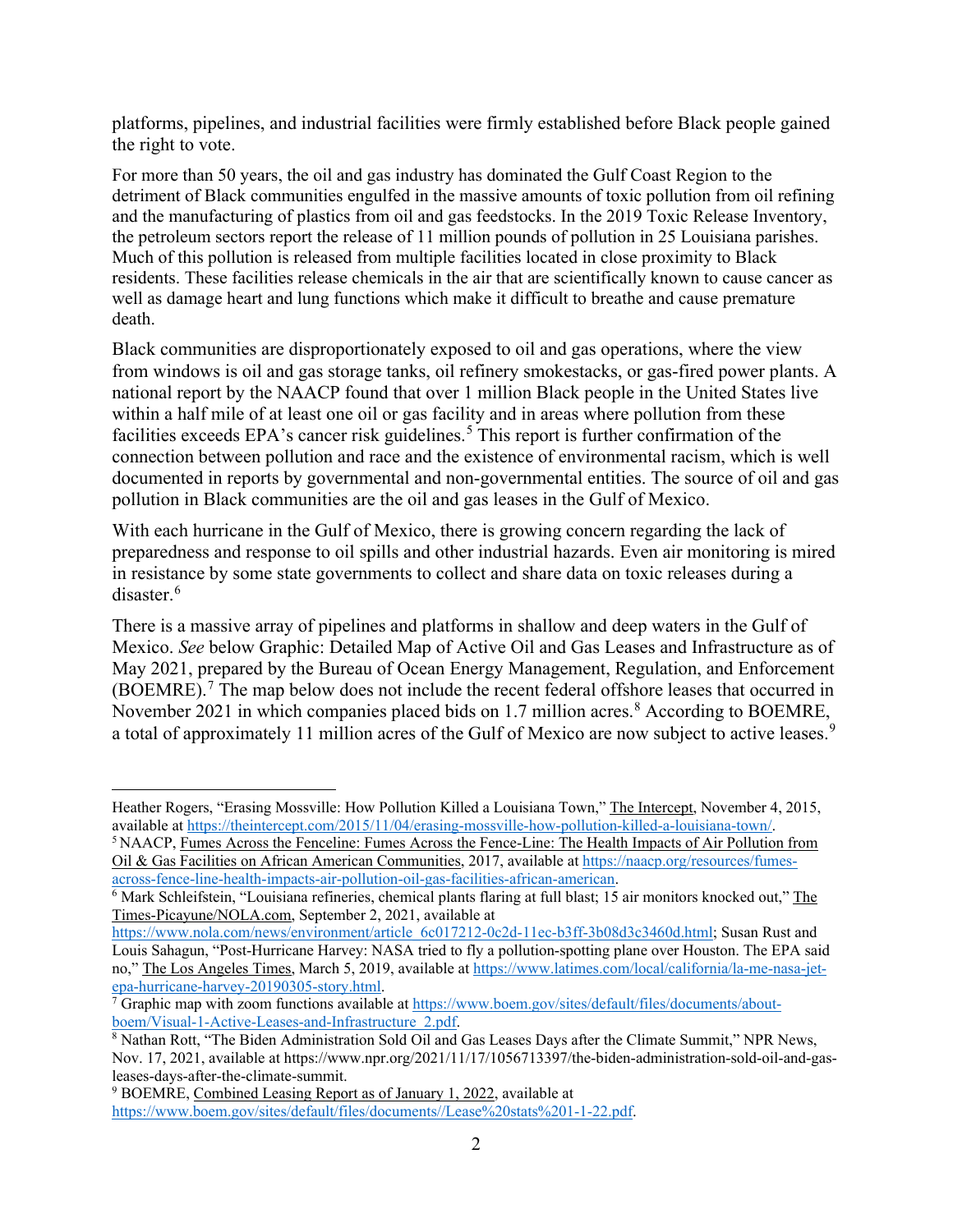platforms, pipelines, and industrial facilities were firmly established before Black people gained the right to vote.

For more than 50 years, the oil and gas industry has dominated the Gulf Coast Region to the detriment of Black communities engulfed in the massive amounts of toxic pollution from oil refining and the manufacturing of plastics from oil and gas feedstocks. In the 2019 Toxic Release Inventory, the petroleum sectors report the release of 11 million pounds of pollution in 25 Louisiana parishes. Much of this pollution is released from multiple facilities located in close proximity to Black residents. These facilities release chemicals in the air that are scientifically known to cause cancer as well as damage heart and lung functions which make it difficult to breathe and cause premature death.

Black communities are disproportionately exposed to oil and gas operations, where the view from windows is oil and gas storage tanks, oil refinery smokestacks, or gas-fired power plants. A national report by the NAACP found that over 1 million Black people in the United States live within a half mile of at least one oil or gas facility and in areas where pollution from these facilities exceeds EPA's cancer risk guidelines.<sup>[5](#page-1-0)</sup> This report is further confirmation of the connection between pollution and race and the existence of environmental racism, which is well documented in reports by governmental and non-governmental entities. The source of oil and gas pollution in Black communities are the oil and gas leases in the Gulf of Mexico.

With each hurricane in the Gulf of Mexico, there is growing concern regarding the lack of preparedness and response to oil spills and other industrial hazards. Even air monitoring is mired in resistance by some state governments to collect and share data on toxic releases during a disaster.[6](#page-1-1)

There is a massive array of pipelines and platforms in shallow and deep waters in the Gulf of Mexico. *See* below Graphic: Detailed Map of Active Oil and Gas Leases and Infrastructure as of May 2021, prepared by the Bureau of Ocean Energy Management, Regulation, and Enforcement (BOEMRE).[7](#page-1-2) The map below does not include the recent federal offshore leases that occurred in November 2021 in which companies placed bids on 1.7 million acres. [8](#page-1-3) According to BOEMRE, a total of approximately 11 million acres of the Gulf of Mexico are now subject to active leases.<sup>[9](#page-1-4)</sup>

Heather Rogers, "Erasing Mossville: How Pollution Killed a Louisiana Town," The Intercept, November 4, 2015, available at [https://theintercept.com/2015/11/04/erasing-mossville-how-pollution-killed-a-louisiana-town/.](https://theintercept.com/2015/11/04/erasing-mossville-how-pollution-killed-a-louisiana-town/)

<span id="page-1-0"></span><sup>5</sup> NAACP, Fumes Across the Fenceline: Fumes Across the Fence-Line: The Health Impacts of Air Pollution from Oil & Gas Facilities on African American Communities, 2017, available a[t https://naacp.org/resources/fumes](https://naacp.org/resources/fumes-across-fence-line-health-impacts-air-pollution-oil-gas-facilities-african-american)[across-fence-line-health-impacts-air-pollution-oil-gas-facilities-african-american.](https://naacp.org/resources/fumes-across-fence-line-health-impacts-air-pollution-oil-gas-facilities-african-american)

<span id="page-1-1"></span><sup>&</sup>lt;sup>6</sup> Mark Schleifstein, "Louisiana refineries, chemical plants flaring at full blast; 15 air monitors knocked out," The Times-Picayune/NOLA.com, September 2, 2021, available at

[https://www.nola.com/news/environment/article\\_6c017212-0c2d-11ec-b3ff-3b08d3c3460d.html;](https://www.nola.com/news/environment/article_6c017212-0c2d-11ec-b3ff-3b08d3c3460d.html) Susan Rust and Louis Sahagun, "Post-Hurricane Harvey: NASA tried to fly a pollution-spotting plane over Houston. The EPA said no," The Los Angeles Times, March 5, 2019, available at [https://www.latimes.com/local/california/la-me-nasa-jet](https://www.latimes.com/local/california/la-me-nasa-jet-epa-hurricane-harvey-20190305-story.html)[epa-hurricane-harvey-20190305-story.html.](https://www.latimes.com/local/california/la-me-nasa-jet-epa-hurricane-harvey-20190305-story.html)

<span id="page-1-2"></span> $7$  Graphic map with zoom functions available at [https://www.boem.gov/sites/default/files/documents/about](https://www.boem.gov/sites/default/files/documents/about-boem/Visual-1-Active-Leases-and-Infrastructure_2.pdf)[boem/Visual-1-Active-Leases-and-Infrastructure\\_2.pdf.](https://www.boem.gov/sites/default/files/documents/about-boem/Visual-1-Active-Leases-and-Infrastructure_2.pdf)

<span id="page-1-3"></span><sup>8</sup> Nathan Rott, "The Biden Administration Sold Oil and Gas Leases Days after the Climate Summit," NPR News, Nov. 17, 2021, available at https://www.npr.org/2021/11/17/1056713397/the-biden-administration-sold-oil-and-gasleases-days-after-the-climate-summit.

<span id="page-1-4"></span><sup>&</sup>lt;sup>9</sup> BOEMRE, Combined Leasing Report as of January 1, 2022, available at [https://www.boem.gov/sites/default/files/documents//Lease%20stats%201-1-22.pdf.](https://www.boem.gov/sites/default/files/documents/Lease%20stats%201-1-22.pdf)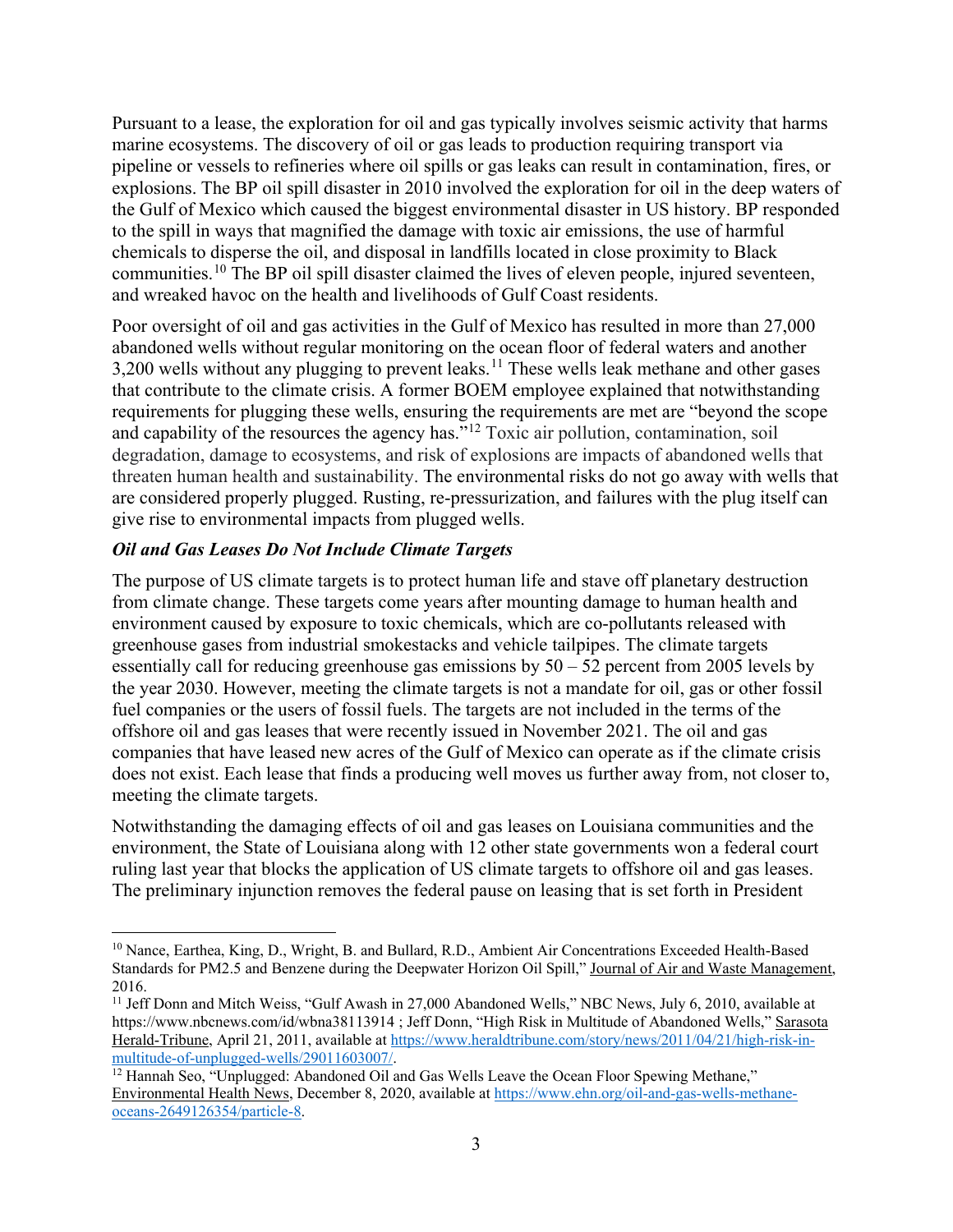Pursuant to a lease, the exploration for oil and gas typically involves seismic activity that harms marine ecosystems. The discovery of oil or gas leads to production requiring transport via pipeline or vessels to refineries where oil spills or gas leaks can result in contamination, fires, or explosions. The BP oil spill disaster in 2010 involved the exploration for oil in the deep waters of the Gulf of Mexico which caused the biggest environmental disaster in US history. BP responded to the spill in ways that magnified the damage with toxic air emissions, the use of harmful chemicals to disperse the oil, and disposal in landfills located in close proximity to Black communities.[10](#page-2-0) The BP oil spill disaster claimed the lives of eleven people, injured seventeen, and wreaked havoc on the health and livelihoods of Gulf Coast residents.

Poor oversight of oil and gas activities in the Gulf of Mexico has resulted in more than 27,000 abandoned wells without regular monitoring on the ocean floor of federal waters and another  $3,200$  wells without any plugging to prevent leaks.<sup>[11](#page-2-1)</sup> These wells leak methane and other gases that contribute to the climate crisis. A former BOEM employee explained that notwithstanding requirements for plugging these wells, ensuring the requirements are met are "beyond the scope and capability of the resources the agency has."<sup>[12](#page-2-2)</sup> Toxic air pollution, contamination, soil degradation, damage to ecosystems, and risk of explosions are impacts of abandoned wells that threaten human health and sustainability. The environmental risks do not go away with wells that are considered properly plugged. Rusting, re-pressurization, and failures with the plug itself can give rise to environmental impacts from plugged wells.

### *Oil and Gas Leases Do Not Include Climate Targets*

The purpose of US climate targets is to protect human life and stave off planetary destruction from climate change. These targets come years after mounting damage to human health and environment caused by exposure to toxic chemicals, which are co-pollutants released with greenhouse gases from industrial smokestacks and vehicle tailpipes. The climate targets essentially call for reducing greenhouse gas emissions by  $50 - 52$  percent from 2005 levels by the year 2030. However, meeting the climate targets is not a mandate for oil, gas or other fossil fuel companies or the users of fossil fuels. The targets are not included in the terms of the offshore oil and gas leases that were recently issued in November 2021. The oil and gas companies that have leased new acres of the Gulf of Mexico can operate as if the climate crisis does not exist. Each lease that finds a producing well moves us further away from, not closer to, meeting the climate targets.

Notwithstanding the damaging effects of oil and gas leases on Louisiana communities and the environment, the State of Louisiana along with 12 other state governments won a federal court ruling last year that blocks the application of US climate targets to offshore oil and gas leases. The preliminary injunction removes the federal pause on leasing that is set forth in President

<span id="page-2-0"></span><sup>10</sup> Nance, Earthea, King, D., Wright, B. and Bullard, R.D., Ambient Air Concentrations Exceeded Health-Based Standards for PM2.5 and Benzene during the Deepwater Horizon Oil Spill," Journal of Air and Waste Management, 2016.

<span id="page-2-1"></span><sup>&</sup>lt;sup>11</sup> Jeff Donn and Mitch Weiss, "Gulf Awash in 27,000 Abandoned Wells," NBC News, July 6, 2010, available at https://www.nbcnews.com/id/wbna38113914 ; Jeff Donn, "High Risk in Multitude of Abandoned Wells," Sarasota Herald-Tribune, April 21, 2011, available at [https://www.heraldtribune.com/story/news/2011/04/21/high-risk-in](https://www.heraldtribune.com/story/news/2011/04/21/high-risk-in-multitude-of-unplugged-wells/29011603007/)[multitude-of-unplugged-wells/29011603007/.](https://www.heraldtribune.com/story/news/2011/04/21/high-risk-in-multitude-of-unplugged-wells/29011603007/)

<span id="page-2-2"></span><sup>&</sup>lt;sup>12</sup> Hannah Seo, "Unplugged: Abandoned Oil and Gas Wells Leave the Ocean Floor Spewing Methane," Environmental Health News, December 8, 2020, available a[t https://www.ehn.org/oil-and-gas-wells-methane](https://www.ehn.org/oil-and-gas-wells-methane-oceans-2649126354/particle-8)[oceans-2649126354/particle-8.](https://www.ehn.org/oil-and-gas-wells-methane-oceans-2649126354/particle-8)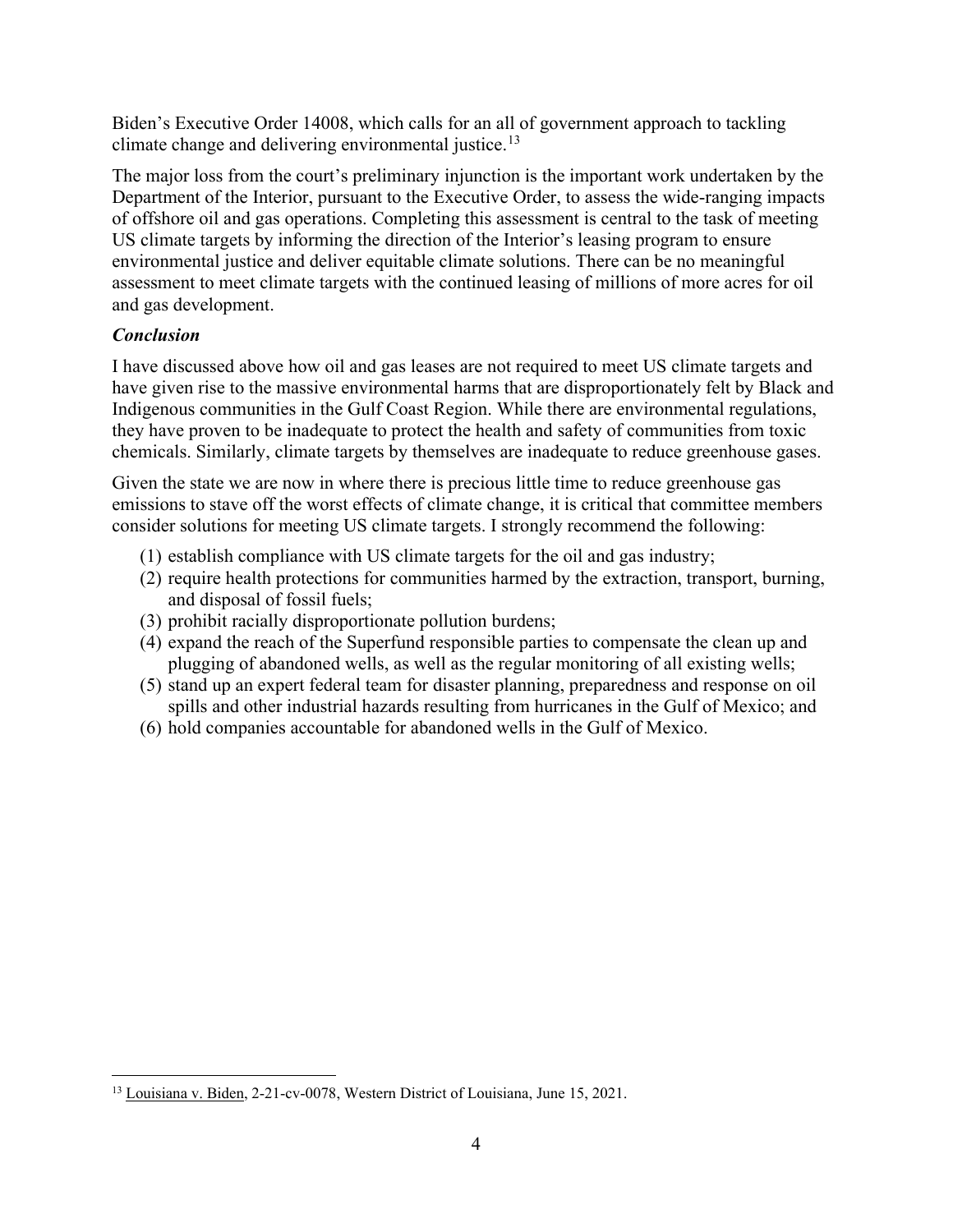Biden's Executive Order 14008, which calls for an all of government approach to tackling climate change and delivering environmental justice.<sup>[13](#page-3-0)</sup>

The major loss from the court's preliminary injunction is the important work undertaken by the Department of the Interior, pursuant to the Executive Order, to assess the wide-ranging impacts of offshore oil and gas operations. Completing this assessment is central to the task of meeting US climate targets by informing the direction of the Interior's leasing program to ensure environmental justice and deliver equitable climate solutions. There can be no meaningful assessment to meet climate targets with the continued leasing of millions of more acres for oil and gas development.

### *Conclusion*

I have discussed above how oil and gas leases are not required to meet US climate targets and have given rise to the massive environmental harms that are disproportionately felt by Black and Indigenous communities in the Gulf Coast Region. While there are environmental regulations, they have proven to be inadequate to protect the health and safety of communities from toxic chemicals. Similarly, climate targets by themselves are inadequate to reduce greenhouse gases.

Given the state we are now in where there is precious little time to reduce greenhouse gas emissions to stave off the worst effects of climate change, it is critical that committee members consider solutions for meeting US climate targets. I strongly recommend the following:

- (1) establish compliance with US climate targets for the oil and gas industry;
- (2) require health protections for communities harmed by the extraction, transport, burning, and disposal of fossil fuels;
- (3) prohibit racially disproportionate pollution burdens;
- (4) expand the reach of the Superfund responsible parties to compensate the clean up and plugging of abandoned wells, as well as the regular monitoring of all existing wells;
- (5) stand up an expert federal team for disaster planning, preparedness and response on oil spills and other industrial hazards resulting from hurricanes in the Gulf of Mexico; and
- (6) hold companies accountable for abandoned wells in the Gulf of Mexico.

<span id="page-3-0"></span><sup>13</sup> Louisiana v. Biden, 2-21-cv-0078, Western District of Louisiana, June 15, 2021.